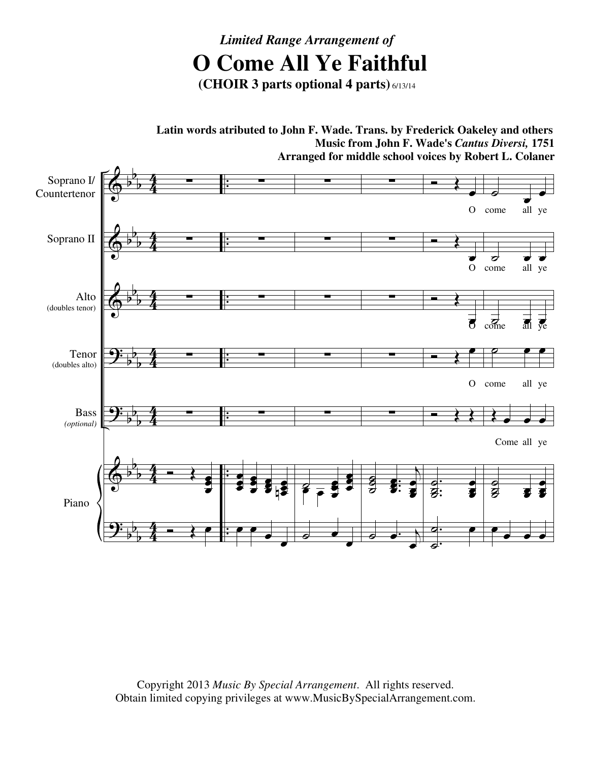## *Limited Range Arrangement of*  **O Come All Ye Faithful**

**(CHOIR 3 parts optional 4 parts)** 6/13/14

 $\bm{\phi}$  $\bm{\phi}$  $\bm{\phi}$ <u>.</u> <u>.</u>  $\bm{\phi}$ <u>.</u> b b b b b b b b b b b b b b b b b b b b b  $\frac{4}{4}$ 4 4 4 4 4  $\frac{4}{4}$ 4  $\frac{4}{4}$ 4 4 4  $\frac{4}{4}$ 4 . . . . . . . . . . . . . . Soprano I/ Countertenor Soprano II Alto (doubles tenor) Tenor (doubles alto) Bass *(optional)* Piano ∑ ∑ ∑ ∑ ∑  $\overline{\bullet}$ œ œ ž<br>P  $\overline{\bullet}$ ∑ ∑ ∑ ∑ ∑ œ e<br>S õ<br>Ö œ œ ž<br>P œ L œ œ œ œ ¦\$ œ œ œ œ ∑ ∑ ∑ ∑ ∑  $\overline{\mathbf{z}}$   $\overline{\mathbf{z}}$ œ ë<br>V œ œ  $\frac{1}{2}$   $\frac{1}{2}$   $\frac{1}{2}$   $\frac{1}{2}$ œ  $\begin{array}{c} \circ \\ \circ \\ \circ \end{array}$ œ ∑ ∑ ∑ ∑ ∑ ˙˙ ˙ . . . œ œ œ  $\overline{A}$ œ e<br>S ē<br>Š  $\circ$   $\cdot$   $\cdot$ œ  $\overline{\bullet}$ œ O come  $\overline{\bullet}$  $\overline{\bullet}$  $\overline{\bullet}$ œ O  $\overline{\bullet}$ œ O  $\leftrightarrow$ . . . ˙ ˙ ˙ œ e<br>S ē<br>Š . .  $\overline{\bullet}$  $\overline{a}$ œ  $\overline{\phantom{a}}$ œ come all ye œ  $\overrightarrow{c}$   $\overrightarrow{d}$   $\overrightarrow{e}$   $\overrightarrow{e}$   $\overrightarrow{d}$  $\overrightarrow{c}$   $\overrightarrow{d}$   $\overrightarrow{e}$   $\overrightarrow{d}$  $\circ$   $\bullet$   $\bullet$ come all ye Œ œ œ œ Come all ye  $\frac{1}{2}$  $\overline{\mathcal{S}}$  $\breve{g}$ œ œ œ e<br>C œ œ œ œ œ **Latin words atributed to John F. Wade. Trans. by Frederick Oakeley and others Music from John F. Wade's** *Cantus Diversi,* **1751 Arranged for middle school voices by Robert L. Colaner**

> Copyright 2013 *Music By Special Arrangement*. All rights reserved. Obtain limited copying privileges at www.MusicBySpecialArrangement.com.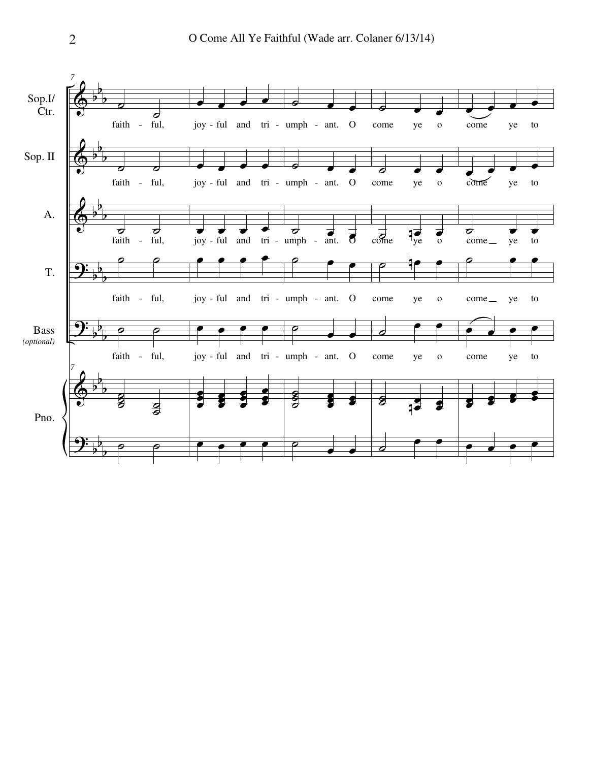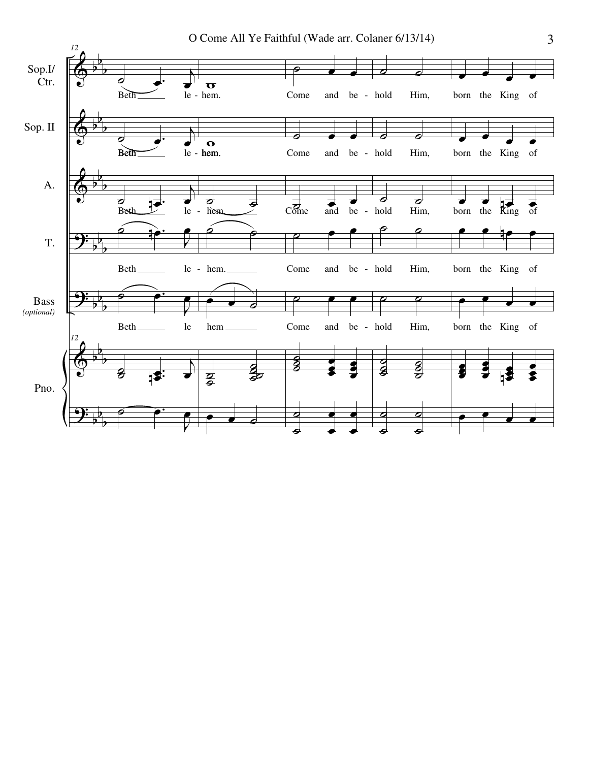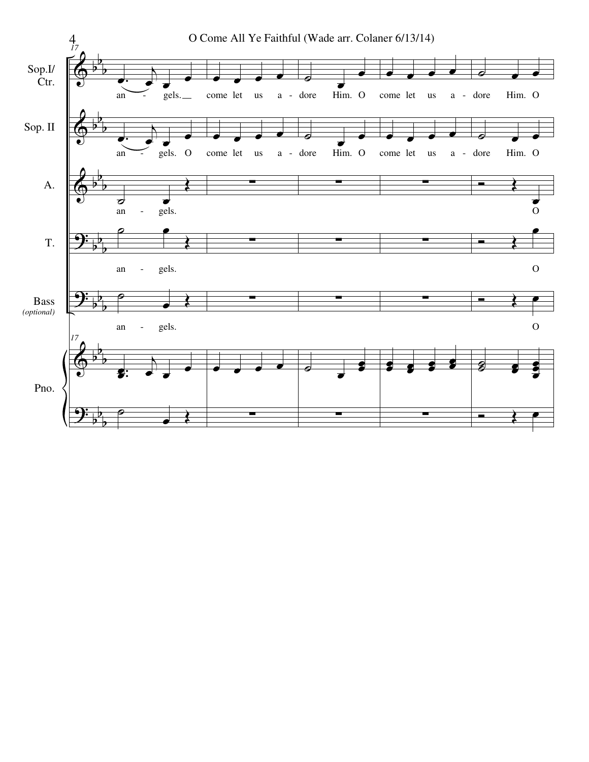